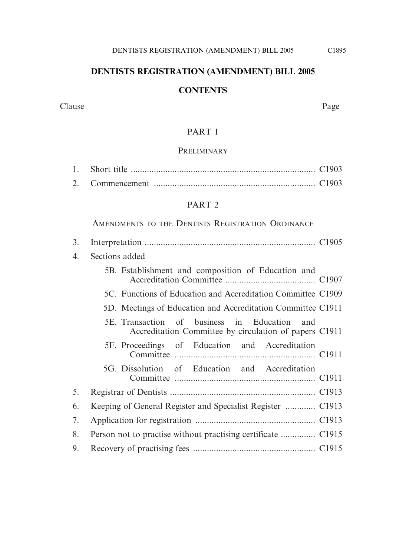## **DENTISTS REGISTRATION (AMENDMENT) BILL 2005**

# **CONTENTS**

Clause Page

## PART 1

#### **PRELIMINARY**

#### PART 2

AMENDMENTS TO THE DENTISTS REGISTRATION ORDINANCE

| 3. |                                                                                                           |
|----|-----------------------------------------------------------------------------------------------------------|
| 4. | Sections added                                                                                            |
|    | 5B. Establishment and composition of Education and                                                        |
|    | 5C. Functions of Education and Accreditation Committee C1909                                              |
|    | 5D. Meetings of Education and Accreditation Committee C1911                                               |
|    | 5E. Transaction of business in Education<br>and<br>Accreditation Committee by circulation of papers C1911 |
|    | 5F. Proceedings of Education and Accreditation                                                            |
|    | 5G. Dissolution of Education and Accreditation                                                            |
| 5. |                                                                                                           |
| 6. |                                                                                                           |
| 7. |                                                                                                           |
| 8. |                                                                                                           |
| 9. |                                                                                                           |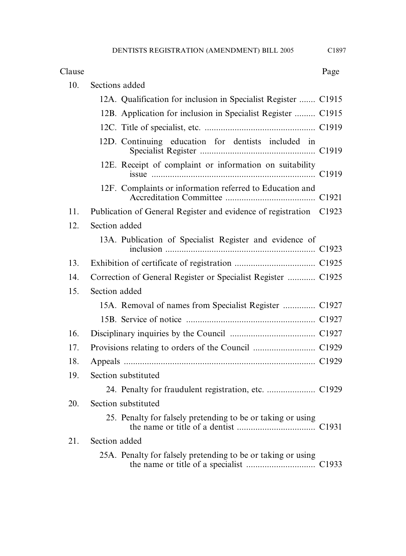#### Clause Page

| 10. | Sections added                                                     |
|-----|--------------------------------------------------------------------|
|     | 12A. Qualification for inclusion in Specialist Register  C1915     |
|     | 12B. Application for inclusion in Specialist Register  C1915       |
|     |                                                                    |
|     | 12D. Continuing education for dentists included in                 |
|     | 12E. Receipt of complaint or information on suitability            |
|     | 12F. Complaints or information referred to Education and           |
| 11. | Publication of General Register and evidence of registration C1923 |
| 12. | Section added                                                      |
|     | 13A. Publication of Specialist Register and evidence of            |
| 13. |                                                                    |
| 14. | Correction of General Register or Specialist Register  C1925       |
| 15. | Section added                                                      |
|     | 15A. Removal of names from Specialist Register  C1927              |
|     |                                                                    |
| 16. |                                                                    |
| 17. |                                                                    |
| 18. |                                                                    |
| 19. | Section substituted                                                |
|     |                                                                    |
| 20. | Section substituted                                                |
|     | 25. Penalty for falsely pretending to be or taking or using        |
| 21. | Section added                                                      |
|     | 25A. Penalty for falsely pretending to be or taking or using       |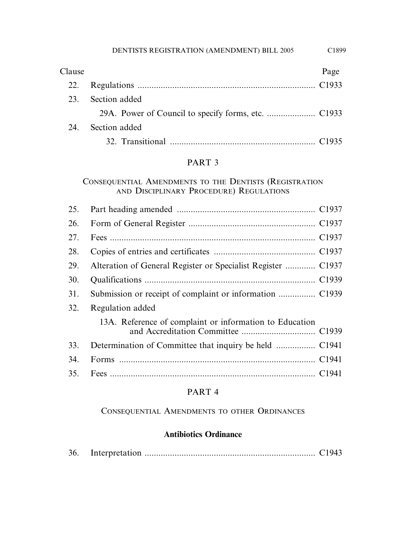| Clause |               | Page |
|--------|---------------|------|
| 22.    |               |      |
| 23.    | Section added |      |
|        |               |      |
| 24.    | Section added |      |
|        |               |      |

## PART 3

## CONSEQUENTIAL AMENDMENTS TO THE DENTISTS (REGISTRATION AND DISCIPLINARY PROCEDURE) REGULATIONS

| 25. |                                                              |  |
|-----|--------------------------------------------------------------|--|
| 26. |                                                              |  |
| 27. |                                                              |  |
| 28. |                                                              |  |
| 29. | Alteration of General Register or Specialist Register  C1937 |  |
| 30. |                                                              |  |
| 31. |                                                              |  |
| 32. | Regulation added                                             |  |
|     | 13A. Reference of complaint or information to Education      |  |
| 33. |                                                              |  |
| 34. |                                                              |  |
| 35. |                                                              |  |
|     |                                                              |  |

## PART 4

## CONSEQUENTIAL AMENDMENTS TO OTHER ORDINANCES

# **Antibiotics Ordinance**

| 36. |  |  |
|-----|--|--|
|-----|--|--|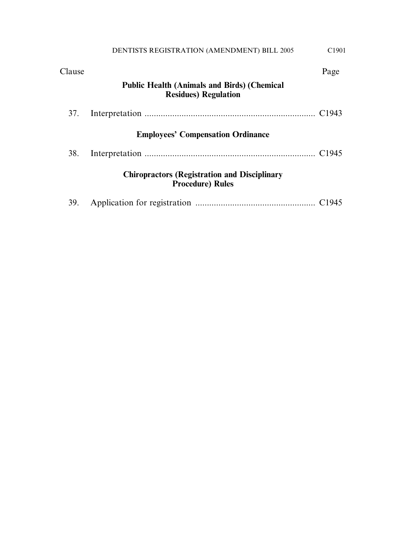| Clause |                                                                                    | Page |
|--------|------------------------------------------------------------------------------------|------|
|        | <b>Public Health (Animals and Birds) (Chemical</b><br><b>Residues</b> ) Regulation |      |
| 37.    |                                                                                    |      |
|        | <b>Employees' Compensation Ordinance</b>                                           |      |
| 38.    |                                                                                    |      |
|        | <b>Chiropractors (Registration and Disciplinary</b><br><b>Procedure</b> ) Rules    |      |
| 39.    |                                                                                    |      |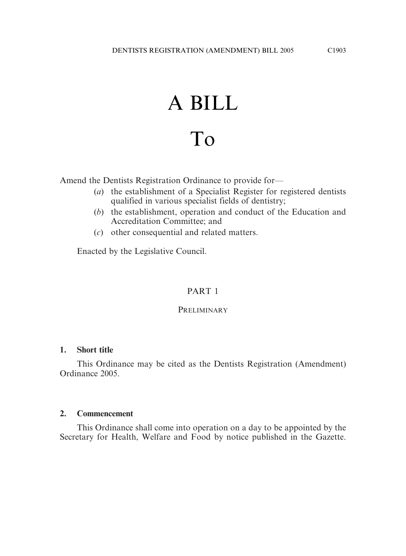# A BILL To

Amend the Dentists Registration Ordinance to provide for—

- (*a*) the establishment of a Specialist Register for registered dentists qualified in various specialist fields of dentistry;
- (*b*) the establishment, operation and conduct of the Education and Accreditation Committee; and
- (*c*) other consequential and related matters.

Enacted by the Legislative Council.

# PART 1

## **PRELIMINARY**

## **1. Short title**

This Ordinance may be cited as the Dentists Registration (Amendment) Ordinance 2005.

## **2. Commencement**

This Ordinance shall come into operation on a day to be appointed by the Secretary for Health, Welfare and Food by notice published in the Gazette.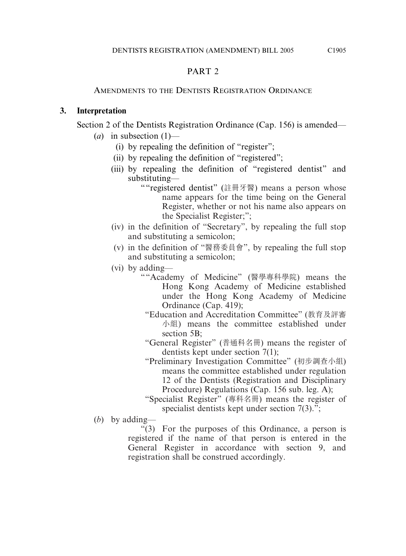# PART<sub>2</sub>

## AMENDMENTS TO THE DENTISTS REGISTRATION ORDINANCE

## **3. Interpretation**

Section 2 of the Dentists Registration Ordinance (Cap. 156) is amended—

- $(a)$  in subsection  $(1)$ 
	- (i) by repealing the definition of "register";
	- (ii) by repealing the definition of "registered";
	- (iii) by repealing the definition of "registered dentist" and substituting—
		- ""registered dentist" (註冊牙醫) means a person whose name appears for the time being on the General Register, whether or not his name also appears on the Specialist Register;";
	- (iv) in the definition of "Secretary", by repealing the full stop and substituting a semicolon;
	- (v) in the definition of "醫務委員會", by repealing the full stop and substituting a semicolon;
	- (vi) by adding—
		- ""Academy of Medicine" (醫學專科學院) means the Hong Kong Academy of Medicine established under the Hong Kong Academy of Medicine Ordinance (Cap. 419);
			- "Education and Accreditation Committee" (桝育及評審 小組) means the committee established under section 5B:

"General Register" (普通科名冊) means the register of dentists kept under section 7(1);

"Preliminary Investigation Committee" (初步調查小組) means the committee established under regulation 12 of the Dentists (Registration and Disciplinary Procedure) Regulations (Cap. 156 sub. leg. A);

"Specialist Register" (專科名冊) means the register of specialist dentists kept under section  $7(3)$ .";

(*b*) by adding—

"(3) For the purposes of this Ordinance, a person is registered if the name of that person is entered in the General Register in accordance with section 9, and registration shall be construed accordingly.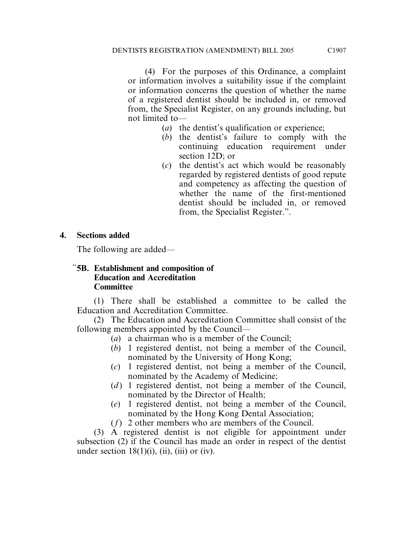(4) For the purposes of this Ordinance, a complaint or information involves a suitability issue if the complaint or information concerns the question of whether the name of a registered dentist should be included in, or removed from, the Specialist Register, on any grounds including, but not limited to—

- (*a*) the dentist's qualification or experience;
- (*b*) the dentist's failure to comply with the continuing education requirement under section 12D; or
- (*c*) the dentist's act which would be reasonably regarded by registered dentists of good repute and competency as affecting the question of whether the name of the first-mentioned dentist should be included in, or removed from, the Specialist Register.".

## **4. Sections added**

The following are added—

## "**5B. Establishment and composition of Education and Accreditation Committee**

(1) There shall be established a committee to be called the Education and Accreditation Committee.

(2) The Education and Accreditation Committee shall consist of the following members appointed by the Council—

- (*a*) a chairman who is a member of the Council;
- (*b*) 1 registered dentist, not being a member of the Council, nominated by the University of Hong Kong;
- (*c*) 1 registered dentist, not being a member of the Council, nominated by the Academy of Medicine;
- (*d*) 1 registered dentist, not being a member of the Council, nominated by the Director of Health;
- (*e*) 1 registered dentist, not being a member of the Council, nominated by the Hong Kong Dental Association;
- (*f*) 2 other members who are members of the Council.

(3) A registered dentist is not eligible for appointment under subsection (2) if the Council has made an order in respect of the dentist under section  $18(1)(i)$ ,  $(ii)$ ,  $(iii)$  or  $(iv)$ .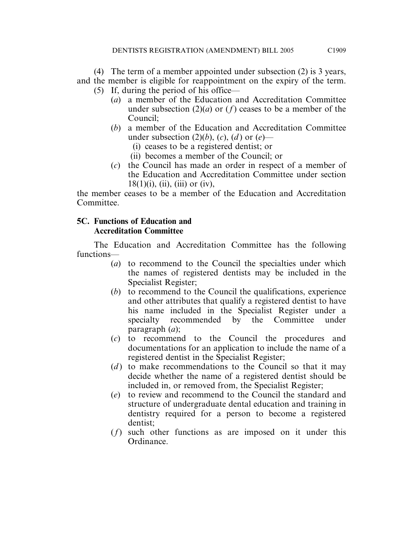(4) The term of a member appointed under subsection (2) is 3 years, and the member is eligible for reappointment on the expiry of the term.

- (5) If, during the period of his office—
	- (*a*) a member of the Education and Accreditation Committee under subsection  $(2)(a)$  or  $(f)$  ceases to be a member of the Council;
	- (*b*) a member of the Education and Accreditation Committee under subsection  $(2)(b)$ ,  $(c)$ ,  $(d)$  or  $(e)$ —
		- (i) ceases to be a registered dentist; or
		- (ii) becomes a member of the Council; or
	- (*c*) the Council has made an order in respect of a member of the Education and Accreditation Committee under section  $18(1)(i)$ , (ii), (iii) or (iv),

the member ceases to be a member of the Education and Accreditation Committee.

## **5C. Functions of Education and Accreditation Committee**

The Education and Accreditation Committee has the following functions—

- (*a*) to recommend to the Council the specialties under which the names of registered dentists may be included in the Specialist Register;
- (*b*) to recommend to the Council the qualifications, experience and other attributes that qualify a registered dentist to have his name included in the Specialist Register under a specialty recommended by the Committee under paragraph (*a*);
- (*c*) to recommend to the Council the procedures and documentations for an application to include the name of a registered dentist in the Specialist Register;
- (*d*) to make recommendations to the Council so that it may decide whether the name of a registered dentist should be included in, or removed from, the Specialist Register;
- (*e*) to review and recommend to the Council the standard and structure of undergraduate dental education and training in dentistry required for a person to become a registered dentist;
- (*f*) such other functions as are imposed on it under this Ordinance.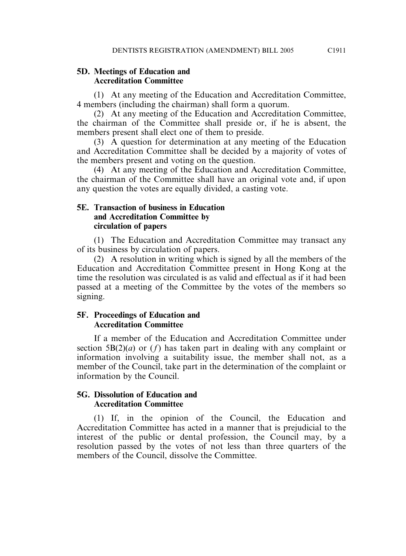#### **5D. Meetings of Education and Accreditation Committee**

(1) At any meeting of the Education and Accreditation Committee, 4 members (including the chairman) shall form a quorum.

(2) At any meeting of the Education and Accreditation Committee, the chairman of the Committee shall preside or, if he is absent, the members present shall elect one of them to preside.

(3) A question for determination at any meeting of the Education and Accreditation Committee shall be decided by a majority of votes of the members present and voting on the question.

(4) At any meeting of the Education and Accreditation Committee, the chairman of the Committee shall have an original vote and, if upon any question the votes are equally divided, a casting vote.

#### **5E. Transaction of business in Education and Accreditation Committee by circulation of papers**

(1) The Education and Accreditation Committee may transact any of its business by circulation of papers.

(2) A resolution in writing which is signed by all the members of the Education and Accreditation Committee present in Hong Kong at the time the resolution was circulated is as valid and effectual as if it had been passed at a meeting of the Committee by the votes of the members so signing.

#### **5F. Proceedings of Education and Accreditation Committee**

If a member of the Education and Accreditation Committee under section  $5B(2)(a)$  or  $(f)$  has taken part in dealing with any complaint or information involving a suitability issue, the member shall not, as a member of the Council, take part in the determination of the complaint or information by the Council.

#### **5G. Dissolution of Education and Accreditation Committee**

(1) If, in the opinion of the Council, the Education and Accreditation Committee has acted in a manner that is prejudicial to the interest of the public or dental profession, the Council may, by a resolution passed by the votes of not less than three quarters of the members of the Council, dissolve the Committee.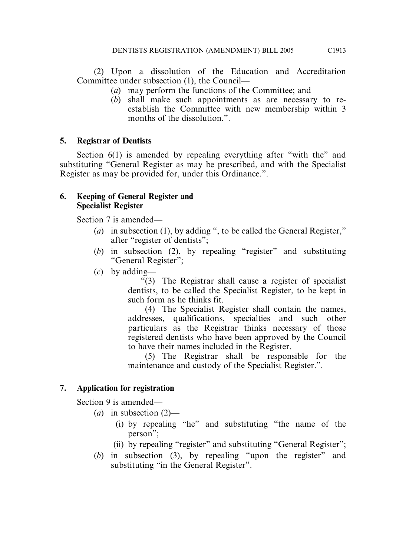(2) Upon a dissolution of the Education and Accreditation Committee under subsection (1), the Council—

- (*a*) may perform the functions of the Committee; and
- (*b*) shall make such appointments as are necessary to reestablish the Committee with new membership within 3 months of the dissolution.".

# **5. Registrar of Dentists**

Section 6(1) is amended by repealing everything after "with the" and substituting "General Register as may be prescribed, and with the Specialist Register as may be provided for, under this Ordinance.".

#### **6. Keeping of General Register and Specialist Register**

Section 7 is amended—

- (*a*) in subsection (1), by adding ", to be called the General Register," after "register of dentists";
- (*b*) in subsection (2), by repealing "register" and substituting "General Register";
- (*c*) by adding—

"(3) The Registrar shall cause a register of specialist dentists, to be called the Specialist Register, to be kept in such form as he thinks fit.

(4) The Specialist Register shall contain the names, addresses, qualifications, specialties and such other particulars as the Registrar thinks necessary of those registered dentists who have been approved by the Council to have their names included in the Register.

(5) The Registrar shall be responsible for the maintenance and custody of the Specialist Register.".

# **7. Application for registration**

Section 9 is amended—

- (*a*) in subsection (2)—
	- (i) by repealing "he" and substituting "the name of the person";
	- (ii) by repealing "register" and substituting "General Register";
- (*b*) in subsection (3), by repealing "upon the register" and substituting "in the General Register".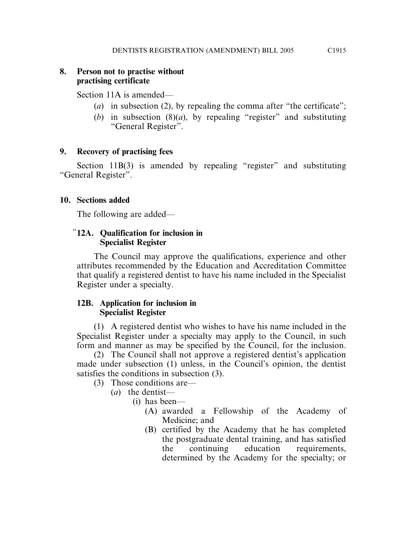## **8. Person not to practise without practising certificate**

Section 11A is amended—

- (*a*) in subsection (2), by repealing the comma after "the certificate";
- (*b*) in subsection (8)(*a*), by repealing "register" and substituting "General Register".

## **9. Recovery of practising fees**

Section 11B(3) is amended by repealing "register" and substituting "General Register".

## **10. Sections added**

The following are added—

## "**12A. Qualification for inclusion in Specialist Register**

The Council may approve the qualifications, experience and other attributes recommended by the Education and Accreditation Committee that qualify a registered dentist to have his name included in the Specialist Register under a specialty.

## **12B. Application for inclusion in Specialist Register**

(1) A registered dentist who wishes to have his name included in the Specialist Register under a specialty may apply to the Council, in such form and manner as may be specified by the Council, for the inclusion.

(2) The Council shall not approve a registered dentist's application made under subsection (1) unless, in the Council's opinion, the dentist satisfies the conditions in subsection (3).

- (3) Those conditions are—
	- (*a*) the dentist—
		- (i) has been—
			- (A) awarded a Fellowship of the Academy of Medicine; and
			- (B) certified by the Academy that he has completed the postgraduate dental training, and has satisfied the continuing education requirements, determined by the Academy for the specialty; or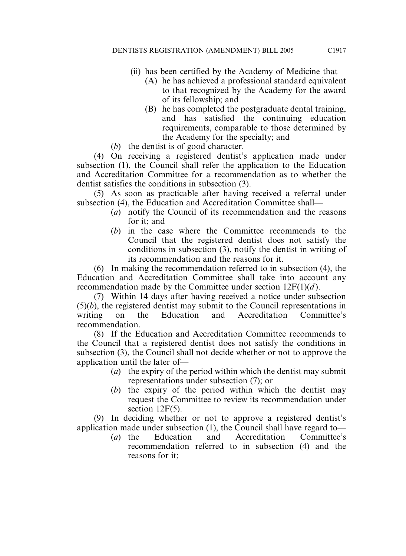- (ii) has been certified by the Academy of Medicine that—
	- (A) he has achieved a professional standard equivalent to that recognized by the Academy for the award of its fellowship; and
	- (B) he has completed the postgraduate dental training, and has satisfied the continuing education requirements, comparable to those determined by the Academy for the specialty; and
- (*b*) the dentist is of good character.

(4) On receiving a registered dentist's application made under subsection (1), the Council shall refer the application to the Education and Accreditation Committee for a recommendation as to whether the dentist satisfies the conditions in subsection (3).

(5) As soon as practicable after having received a referral under subsection (4), the Education and Accreditation Committee shall—

- (*a*) notify the Council of its recommendation and the reasons for it; and
- (*b*) in the case where the Committee recommends to the Council that the registered dentist does not satisfy the conditions in subsection (3), notify the dentist in writing of its recommendation and the reasons for it.

(6) In making the recommendation referred to in subsection (4), the Education and Accreditation Committee shall take into account any recommendation made by the Committee under section 12F(1)(*d* ).

(7) Within 14 days after having received a notice under subsection  $(5)(b)$ , the registered dentist may submit to the Council representations in writing on the Education and Accreditation Committee's recommendation.

(8) If the Education and Accreditation Committee recommends to the Council that a registered dentist does not satisfy the conditions in subsection (3), the Council shall not decide whether or not to approve the application until the later of—

- (*a*) the expiry of the period within which the dentist may submit representations under subsection (7); or
- (*b*) the expiry of the period within which the dentist may request the Committee to review its recommendation under section 12F(5).

(9) In deciding whether or not to approve a registered dentist's application made under subsection (1), the Council shall have regard to—

(*a*) the Education and Accreditation Committee's recommendation referred to in subsection (4) and the reasons for it;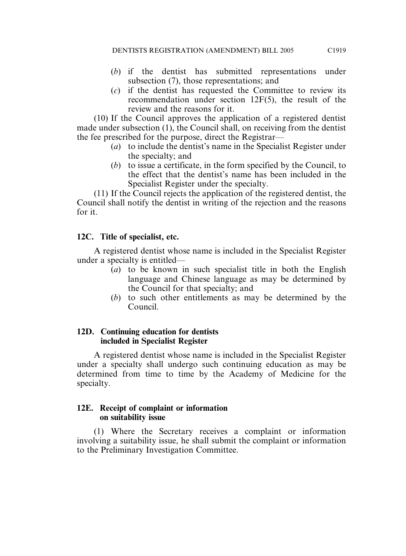- (*b*) if the dentist has submitted representations under subsection (7), those representations; and
- (*c*) if the dentist has requested the Committee to review its recommendation under section 12F(5), the result of the review and the reasons for it.

(10) If the Council approves the application of a registered dentist made under subsection (1), the Council shall, on receiving from the dentist the fee prescribed for the purpose, direct the Registrar—

- (*a*) to include the dentist's name in the Specialist Register under the specialty; and
- (*b*) to issue a certificate, in the form specified by the Council, to the effect that the dentist's name has been included in the Specialist Register under the specialty.

(11) If the Council rejects the application of the registered dentist, the Council shall notify the dentist in writing of the rejection and the reasons for it.

## **12C. Title of specialist, etc.**

A registered dentist whose name is included in the Specialist Register under a specialty is entitled—

- (*a*) to be known in such specialist title in both the English language and Chinese language as may be determined by the Council for that specialty; and
- (*b*) to such other entitlements as may be determined by the Council.

## **12D. Continuing education for dentists included in Specialist Register**

A registered dentist whose name is included in the Specialist Register under a specialty shall undergo such continuing education as may be determined from time to time by the Academy of Medicine for the specialty.

## **12E. Receipt of complaint or information on suitability issue**

(1) Where the Secretary receives a complaint or information involving a suitability issue, he shall submit the complaint or information to the Preliminary Investigation Committee.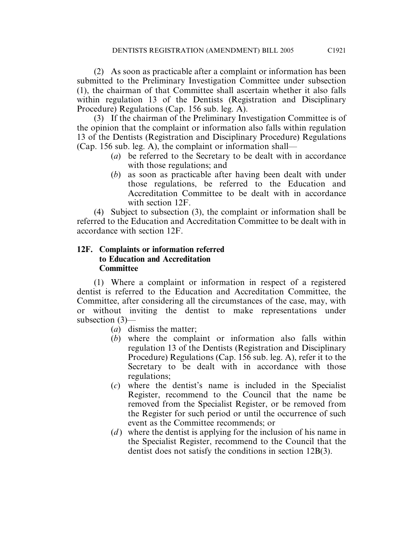(2) As soon as practicable after a complaint or information has been submitted to the Preliminary Investigation Committee under subsection (1), the chairman of that Committee shall ascertain whether it also falls within regulation 13 of the Dentists (Registration and Disciplinary Procedure) Regulations (Cap. 156 sub. leg. A).

(3) If the chairman of the Preliminary Investigation Committee is of the opinion that the complaint or information also falls within regulation 13 of the Dentists (Registration and Disciplinary Procedure) Regulations (Cap. 156 sub. leg. A), the complaint or information shall—

- (*a*) be referred to the Secretary to be dealt with in accordance with those regulations; and
- (*b*) as soon as practicable after having been dealt with under those regulations, be referred to the Education and Accreditation Committee to be dealt with in accordance with section 12F.

(4) Subject to subsection (3), the complaint or information shall be referred to the Education and Accreditation Committee to be dealt with in accordance with section 12F.

## **12F. Complaints or information referred to Education and Accreditation Committee**

(1) Where a complaint or information in respect of a registered dentist is referred to the Education and Accreditation Committee, the Committee, after considering all the circumstances of the case, may, with or without inviting the dentist to make representations under subsection (3)—

- (*a*) dismiss the matter;
- (*b*) where the complaint or information also falls within regulation 13 of the Dentists (Registration and Disciplinary Procedure) Regulations (Cap. 156 sub. leg. A), refer it to the Secretary to be dealt with in accordance with those regulations;
- (*c*) where the dentist's name is included in the Specialist Register, recommend to the Council that the name be removed from the Specialist Register, or be removed from the Register for such period or until the occurrence of such event as the Committee recommends; or
- (*d*) where the dentist is applying for the inclusion of his name in the Specialist Register, recommend to the Council that the dentist does not satisfy the conditions in section 12B(3).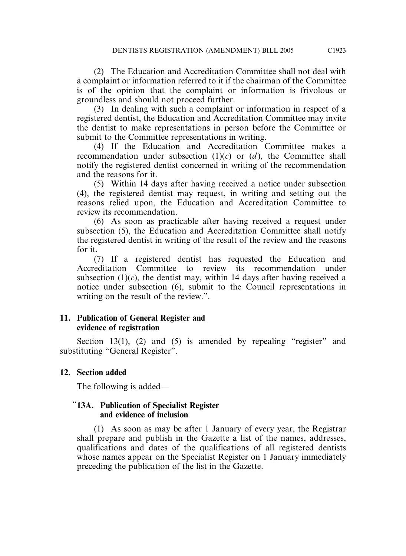(2) The Education and Accreditation Committee shall not deal with a complaint or information referred to it if the chairman of the Committee is of the opinion that the complaint or information is frivolous or groundless and should not proceed further.

(3) In dealing with such a complaint or information in respect of a registered dentist, the Education and Accreditation Committee may invite the dentist to make representations in person before the Committee or submit to the Committee representations in writing.

(4) If the Education and Accreditation Committee makes a recommendation under subsection (1)(*c*) or (*d* ), the Committee shall notify the registered dentist concerned in writing of the recommendation and the reasons for it.

(5) Within 14 days after having received a notice under subsection (4), the registered dentist may request, in writing and setting out the reasons relied upon, the Education and Accreditation Committee to review its recommendation.

(6) As soon as practicable after having received a request under subsection (5), the Education and Accreditation Committee shall notify the registered dentist in writing of the result of the review and the reasons for it.

(7) If a registered dentist has requested the Education and Accreditation Committee to review its recommendation under subsection  $(1)(c)$ , the dentist may, within 14 days after having received a notice under subsection (6), submit to the Council representations in writing on the result of the review.".

## **11. Publication of General Register and evidence of registration**

Section 13(1), (2) and (5) is amended by repealing "register" and substituting "General Register".

## **12. Section added**

The following is added—

## "**13A. Publication of Specialist Register and evidence of inclusion**

(1) As soon as may be after 1 January of every year, the Registrar shall prepare and publish in the Gazette a list of the names, addresses, qualifications and dates of the qualifications of all registered dentists whose names appear on the Specialist Register on 1 January immediately preceding the publication of the list in the Gazette.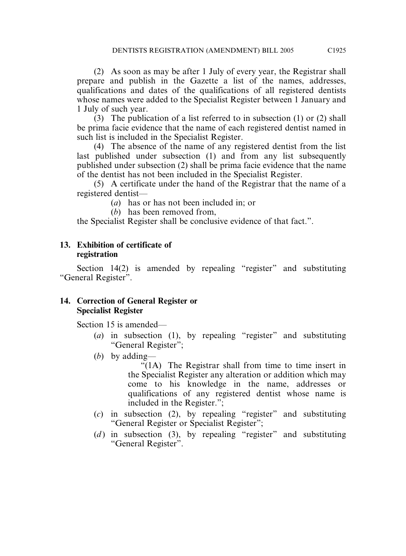(2) As soon as may be after 1 July of every year, the Registrar shall prepare and publish in the Gazette a list of the names, addresses, qualifications and dates of the qualifications of all registered dentists whose names were added to the Specialist Register between 1 January and 1 July of such year.

(3) The publication of a list referred to in subsection (1) or (2) shall be prima facie evidence that the name of each registered dentist named in such list is included in the Specialist Register.

(4) The absence of the name of any registered dentist from the list last published under subsection (1) and from any list subsequently published under subsection (2) shall be prima facie evidence that the name of the dentist has not been included in the Specialist Register.

(5) A certificate under the hand of the Registrar that the name of a registered dentist—

(*a*) has or has not been included in; or

(*b*) has been removed from,

the Specialist Register shall be conclusive evidence of that fact.".

#### **13. Exhibition of certificate of registration**

Section 14(2) is amended by repealing "register" and substituting "General Register".

## **14. Correction of General Register or Specialist Register**

Section 15 is amended—

- (*a*) in subsection (1), by repealing "register" and substituting "General Register";
- (*b*) by adding—

"(1A) The Registrar shall from time to time insert in the Specialist Register any alteration or addition which may come to his knowledge in the name, addresses or qualifications of any registered dentist whose name is included in the Register.";

- (*c*) in subsection (2), by repealing "register" and substituting "General Register or Specialist Register";
- $(d)$  in subsection (3), by repealing "register" and substituting "General Register".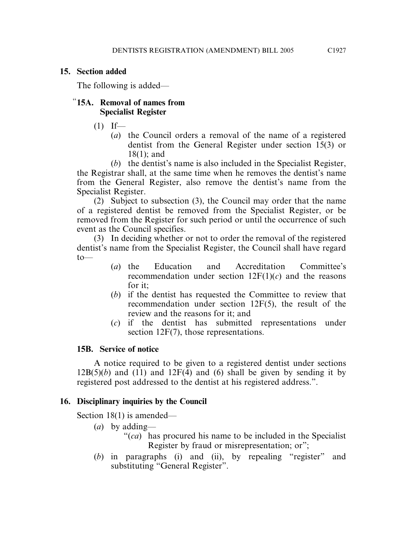#### **15. Section added**

The following is added—

## "**15A. Removal of names from Specialist Register**

 $(1)$  If—

(*a*) the Council orders a removal of the name of a registered dentist from the General Register under section 15(3) or 18(1); and

(*b*) the dentist's name is also included in the Specialist Register, the Registrar shall, at the same time when he removes the dentist's name from the General Register, also remove the dentist's name from the Specialist Register.

(2) Subject to subsection (3), the Council may order that the name of a registered dentist be removed from the Specialist Register, or be removed from the Register for such period or until the occurrence of such event as the Council specifies.

(3) In deciding whether or not to order the removal of the registered dentist's name from the Specialist Register, the Council shall have regard to—

- (*a*) the Education and Accreditation Committee's recommendation under section  $12F(1)(c)$  and the reasons for it;
- (*b*) if the dentist has requested the Committee to review that recommendation under section 12F(5), the result of the review and the reasons for it; and
- (*c*) if the dentist has submitted representations under section 12F(7), those representations.

## **15B. Service of notice**

A notice required to be given to a registered dentist under sections  $12B(5)(b)$  and  $(11)$  and  $12F(4)$  and (6) shall be given by sending it by registered post addressed to the dentist at his registered address.".

## **16. Disciplinary inquiries by the Council**

Section 18(1) is amended—

- (*a*) by adding—
	- "(*ca*) has procured his name to be included in the Specialist Register by fraud or misrepresentation; or";
- (*b*) in paragraphs (i) and (ii), by repealing "register" and substituting "General Register".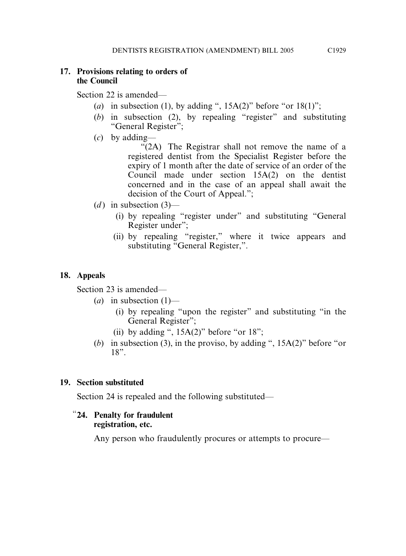## **17. Provisions relating to orders of the Council**

Section 22 is amended—

- (*a*) in subsection (1), by adding ",  $15A(2)$ " before "or  $18(1)$ ";
- (*b*) in subsection (2), by repealing "register" and substituting "General Register";
- (*c*) by adding—

"(2A) The Registrar shall not remove the name of a registered dentist from the Specialist Register before the expiry of 1 month after the date of service of an order of the Council made under section 15A(2) on the dentist concerned and in the case of an appeal shall await the decision of the Court of Appeal.";

- $(d)$  in subsection  $(3)$ 
	- (i) by repealing "register under" and substituting "General Register under";
	- (ii) by repealing "register," where it twice appears and substituting "General Register,".

## **18. Appeals**

Section 23 is amended—

- $(a)$  in subsection  $(1)$ 
	- (i) by repealing "upon the register" and substituting "in the General Register";
	- (ii) by adding ",  $15A(2)$ " before "or  $18$ ";
- (*b*) in subsection (3), in the proviso, by adding ", 15A(2)" before "or 18".

## **19. Section substituted**

Section 24 is repealed and the following substituted—

## "**24. Penalty for fraudulent registration, etc.**

Any person who fraudulently procures or attempts to procure—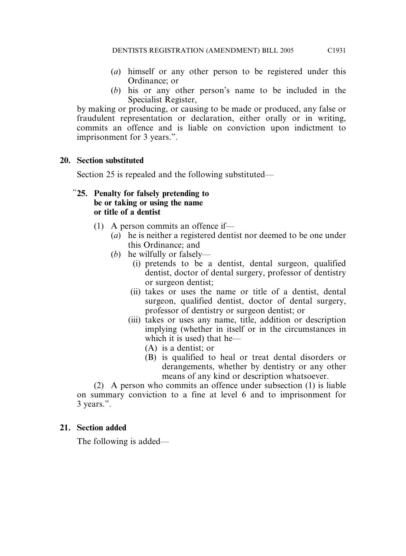- (*a*) himself or any other person to be registered under this Ordinance; or
- (*b*) his or any other person's name to be included in the Specialist Register,

by making or producing, or causing to be made or produced, any false or fraudulent representation or declaration, either orally or in writing, commits an offence and is liable on conviction upon indictment to imprisonment for 3 years.".

## **20. Section substituted**

Section 25 is repealed and the following substituted—

## "**25. Penalty for falsely pretending to be or taking or using the name or title of a dentist**

- (1) A person commits an offence if—
	- (*a*) he is neither a registered dentist nor deemed to be one under this Ordinance; and
	- (*b*) he wilfully or falsely—
		- (i) pretends to be a dentist, dental surgeon, qualified dentist, doctor of dental surgery, professor of dentistry or surgeon dentist;
		- (ii) takes or uses the name or title of a dentist, dental surgeon, qualified dentist, doctor of dental surgery, professor of dentistry or surgeon dentist; or
		- (iii) takes or uses any name, title, addition or description implying (whether in itself or in the circumstances in which it is used) that he—
			- (A) is a dentist; or
			- (B) is qualified to heal or treat dental disorders or derangements, whether by dentistry or any other means of any kind or description whatsoever.

(2) A person who commits an offence under subsection (1) is liable on summary conviction to a fine at level 6 and to imprisonment for 3 years.".

## **21. Section added**

The following is added—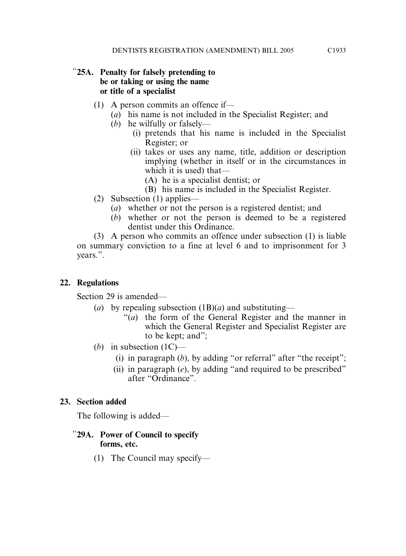## "**25A. Penalty for falsely pretending to be or taking or using the name or title of a specialist**

- (1) A person commits an offence if—
	- (*a*) his name is not included in the Specialist Register; and
	- (*b*) he wilfully or falsely—
		- (i) pretends that his name is included in the Specialist Register; or
		- (ii) takes or uses any name, title, addition or description implying (whether in itself or in the circumstances in which it is used) that—
			- (A) he is a specialist dentist; or
			- (B) his name is included in the Specialist Register.
- (2) Subsection (1) applies—
	- (*a*) whether or not the person is a registered dentist; and
	- (*b*) whether or not the person is deemed to be a registered dentist under this Ordinance.

(3) A person who commits an offence under subsection (1) is liable on summary conviction to a fine at level 6 and to imprisonment for 3 years.".

# **22. Regulations**

Section 29 is amended—

- (*a*) by repealing subsection (1B)(*a*) and substituting—
	- "(*a*) the form of the General Register and the manner in which the General Register and Specialist Register are to be kept; and";
- (*b*) in subsection (1C)—
	- (i) in paragraph  $(b)$ , by adding "or referral" after "the receipt";
	- (ii) in paragraph (*e*), by adding "and required to be prescribed" after "Ordinance".

# **23. Section added**

The following is added—

## "**29A. Power of Council to specify forms, etc.**

(1) The Council may specify—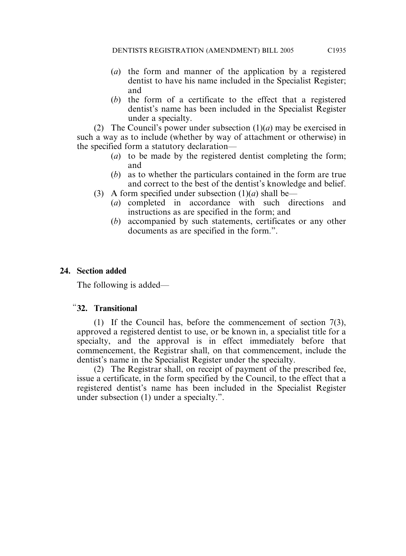- (*a*) the form and manner of the application by a registered dentist to have his name included in the Specialist Register; and
- (*b*) the form of a certificate to the effect that a registered dentist's name has been included in the Specialist Register under a specialty.

(2) The Council's power under subsection (1)(*a*) may be exercised in such a way as to include (whether by way of attachment or otherwise) in the specified form a statutory declaration—

- (*a*) to be made by the registered dentist completing the form; and
- (*b*) as to whether the particulars contained in the form are true and correct to the best of the dentist's knowledge and belief.
- (3) A form specified under subsection  $(1)(a)$  shall be—
	- (*a*) completed in accordance with such directions and instructions as are specified in the form; and
	- (*b*) accompanied by such statements, certificates or any other documents as are specified in the form.".

## **24. Section added**

The following is added—

## "**32. Transitional**

(1) If the Council has, before the commencement of section 7(3), approved a registered dentist to use, or be known in, a specialist title for a specialty, and the approval is in effect immediately before that commencement, the Registrar shall, on that commencement, include the dentist's name in the Specialist Register under the specialty.

(2) The Registrar shall, on receipt of payment of the prescribed fee, issue a certificate, in the form specified by the Council, to the effect that a registered dentist's name has been included in the Specialist Register under subsection (1) under a specialty.".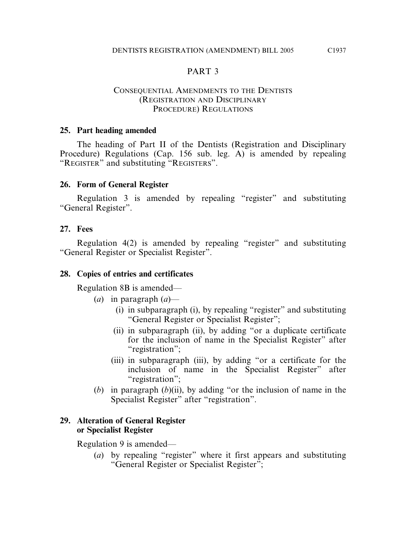## PART 3

#### CONSEQUENTIAL AMENDMENTS TO THE DENTISTS (REGISTRATION AND DISCIPLINARY PROCEDURE) REGULATIONS

#### **25. Part heading amended**

The heading of Part II of the Dentists (Registration and Disciplinary Procedure) Regulations (Cap. 156 sub. leg. A) is amended by repealing "REGISTER" and substituting "REGISTERS".

#### **26. Form of General Register**

Regulation 3 is amended by repealing "register" and substituting "General Register".

#### **27. Fees**

Regulation 4(2) is amended by repealing "register" and substituting "General Register or Specialist Register".

#### **28. Copies of entries and certificates**

Regulation 8B is amended—

- (*a*) in paragraph (*a*)—
	- (i) in subparagraph (i), by repealing "register" and substituting "General Register or Specialist Register";
	- (ii) in subparagraph (ii), by adding "or a duplicate certificate for the inclusion of name in the Specialist Register" after "registration";
	- (iii) in subparagraph (iii), by adding "or a certificate for the inclusion of name in the Specialist Register" after "registration";
- (*b*) in paragraph (*b*)(ii), by adding "or the inclusion of name in the Specialist Register" after "registration".

#### **29. Alteration of General Register or Specialist Register**

Regulation 9 is amended—

(*a*) by repealing "register" where it first appears and substituting "General Register or Specialist Register";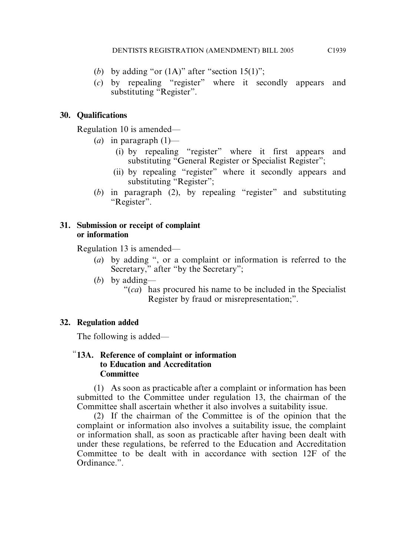- (*b*) by adding "or  $(1A)$ " after "section  $15(1)$ ";
- (*c*) by repealing "register" where it secondly appears and substituting "Register".

# **30. Qualifications**

Regulation 10 is amended—

- $(a)$  in paragraph  $(1)$ 
	- (i) by repealing "register" where it first appears and substituting "General Register or Specialist Register";
	- (ii) by repealing "register" where it secondly appears and substituting "Register";
- (*b*) in paragraph (2), by repealing "register" and substituting "Register".

## **31. Submission or receipt of complaint or information**

Regulation 13 is amended—

- (*a*) by adding ", or a complaint or information is referred to the Secretary," after "by the Secretary";
- (*b*) by adding—
	- "(*ca*) has procured his name to be included in the Specialist Register by fraud or misrepresentation;".

# **32. Regulation added**

The following is added—

## "**13A. Reference of complaint or information to Education and Accreditation Committee**

(1) As soon as practicable after a complaint or information has been submitted to the Committee under regulation 13, the chairman of the Committee shall ascertain whether it also involves a suitability issue.

(2) If the chairman of the Committee is of the opinion that the complaint or information also involves a suitability issue, the complaint or information shall, as soon as practicable after having been dealt with under these regulations, be referred to the Education and Accreditation Committee to be dealt with in accordance with section 12F of the Ordinance.".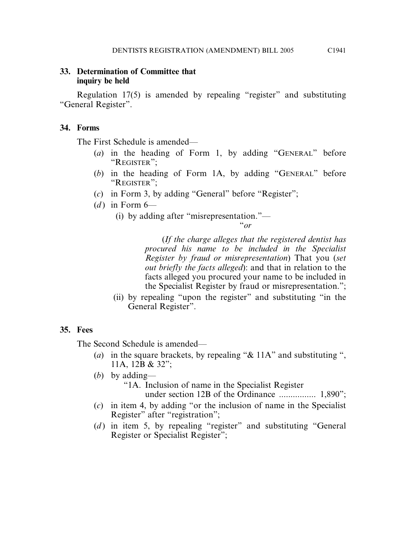## **33. Determination of Committee that inquiry be held**

Regulation 17(5) is amended by repealing "register" and substituting "General Register".

## **34. Forms**

The First Schedule is amended—

- (*a*) in the heading of Form 1, by adding "GENERAL" before "REGISTER";
- (*b*) in the heading of Form 1A, by adding "GENERAL" before "REGISTER";
- (*c*) in Form 3, by adding "General" before "Register";
- $(d)$  in Form  $6-$ 
	- (i) by adding after "misrepresentation."—

"*or*

(*If the charge alleges that the registered dentist has procured his name to be included in the Specialist Register by fraud or misrepresentation*) That you (*set out briefly the facts alleged*): and that in relation to the facts alleged you procured your name to be included in the Specialist Register by fraud or misrepresentation.";

(ii) by repealing "upon the register" and substituting "in the General Register".

# **35. Fees**

The Second Schedule is amended—

- (*a*) in the square brackets, by repealing "& 11A" and substituting ", 11A, 12B & 32";
- (*b*) by adding— "1A. Inclusion of name in the Specialist Register

under section 12B of the Ordinance ................ 1,890";

- (*c*) in item 4, by adding "or the inclusion of name in the Specialist Register" after "registration";
- (*d*) in item 5, by repealing "register" and substituting "General Register or Specialist Register";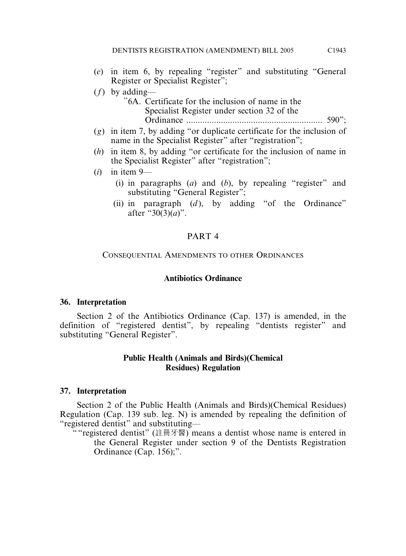- (*e*) in item 6, by repealing "register" and substituting "General Register or Specialist Register";
- (*f*) by adding—
	- "6A. Certificate for the inclusion of name in the Specialist Register under section 32 of the Ordinance ........................................................... 590";
- (*g*) in item 7, by adding "or duplicate certificate for the inclusion of name in the Specialist Register" after "registration";
- (*h*) in item 8, by adding "or certificate for the inclusion of name in the Specialist Register" after "registration";
- (*i*) in item 9—
	- (i) in paragraphs (*a*) and (*b*), by repealing "register" and substituting "General Register";
	- (ii) in paragraph  $(d)$ , by adding "of the Ordinance" after "30(3)(*a*)".

#### PART 4

#### CONSEQUENTIAL AMENDMENTS TO OTHER ORDINANCES

#### **Antibiotics Ordinance**

#### **36. Interpretation**

Section 2 of the Antibiotics Ordinance (Cap. 137) is amended, in the definition of "registered dentist", by repealing "dentists register" and substituting "General Register".

#### **Public Health (Animals and Birds)(Chemical Residues) Regulation**

#### **37. Interpretation**

Section 2 of the Public Health (Animals and Birds)(Chemical Residues) Regulation (Cap. 139 sub. leg. N) is amended by repealing the definition of "registered dentist" and substituting—

" "registered dentist" (註冊牙醫) means a dentist whose name is entered in the General Register under section 9 of the Dentists Registration Ordinance (Cap. 156);".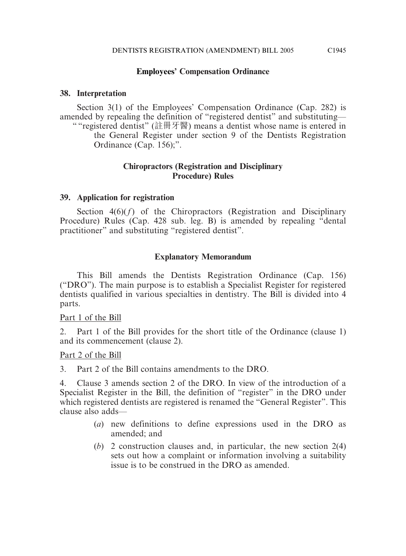## **Employees' Compensation Ordinance**

## **38. Interpretation**

Section 3(1) of the Employees' Compensation Ordinance (Cap. 282) is amended by repealing the definition of "registered dentist" and substituting— " "registered dentist" (註冊牙醫) means a dentist whose name is entered in the General Register under section 9 of the Dentists Registration Ordinance (Cap. 156);".

#### **Chiropractors (Registration and Disciplinary Procedure) Rules**

## **39. Application for registration**

Section  $4(6)(f)$  of the Chiropractors (Registration and Disciplinary Procedure) Rules (Cap. 428 sub. leg. B) is amended by repealing "dental practitioner" and substituting "registered dentist".

## **Explanatory Memorandum**

This Bill amends the Dentists Registration Ordinance (Cap. 156) ("DRO"). The main purpose is to establish a Specialist Register for registered dentists qualified in various specialties in dentistry. The Bill is divided into 4 parts.

## Part 1 of the Bill

2. Part 1 of the Bill provides for the short title of the Ordinance (clause 1) and its commencement (clause 2).

## Part 2 of the Bill

3. Part 2 of the Bill contains amendments to the DRO.

4. Clause 3 amends section 2 of the DRO. In view of the introduction of a Specialist Register in the Bill, the definition of "register" in the DRO under which registered dentists are registered is renamed the "General Register". This clause also adds—

- (*a*) new definitions to define expressions used in the DRO as amended; and
- (*b*) 2 construction clauses and, in particular, the new section 2(4) sets out how a complaint or information involving a suitability issue is to be construed in the DRO as amended.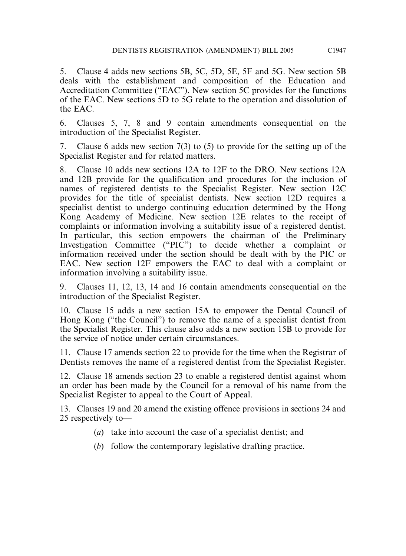5. Clause 4 adds new sections 5B, 5C, 5D, 5E, 5F and 5G. New section 5B deals with the establishment and composition of the Education and Accreditation Committee ("EAC"). New section 5C provides for the functions of the EAC. New sections 5D to 5G relate to the operation and dissolution of the EAC.

6. Clauses 5, 7, 8 and 9 contain amendments consequential on the introduction of the Specialist Register.

7. Clause 6 adds new section 7(3) to (5) to provide for the setting up of the Specialist Register and for related matters.

8. Clause 10 adds new sections 12A to 12F to the DRO. New sections 12A and 12B provide for the qualification and procedures for the inclusion of names of registered dentists to the Specialist Register. New section 12C provides for the title of specialist dentists. New section 12D requires a specialist dentist to undergo continuing education determined by the Hong Kong Academy of Medicine. New section 12E relates to the receipt of complaints or information involving a suitability issue of a registered dentist. In particular, this section empowers the chairman of the Preliminary Investigation Committee ("PIC") to decide whether a complaint or information received under the section should be dealt with by the PIC or EAC. New section 12F empowers the EAC to deal with a complaint or information involving a suitability issue.

9. Clauses 11, 12, 13, 14 and 16 contain amendments consequential on the introduction of the Specialist Register.

10. Clause 15 adds a new section 15A to empower the Dental Council of Hong Kong ("the Council") to remove the name of a specialist dentist from the Specialist Register. This clause also adds a new section 15B to provide for the service of notice under certain circumstances.

11. Clause 17 amends section 22 to provide for the time when the Registrar of Dentists removes the name of a registered dentist from the Specialist Register.

12. Clause 18 amends section 23 to enable a registered dentist against whom an order has been made by the Council for a removal of his name from the Specialist Register to appeal to the Court of Appeal.

13. Clauses 19 and 20 amend the existing offence provisions in sections 24 and 25 respectively to—

- (*a*) take into account the case of a specialist dentist; and
- (*b*) follow the contemporary legislative drafting practice.